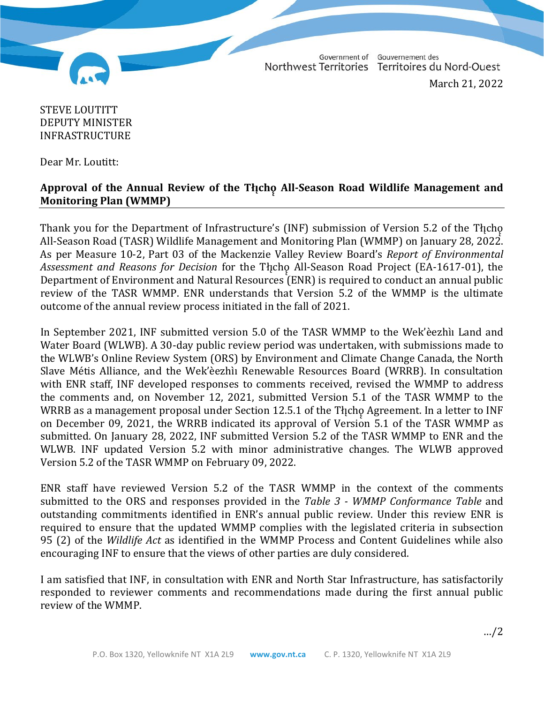Government of Gouvernement des Northwest Territories Territoires du Nord-Ouest

March 21, 2022

## STEVE LOUTITT DEPUTY MINISTER INFRASTRUCTURE

Dear Mr. Loutitt:

## **Approval of the Annual Review of the Tłı̨chǫ̨ All-Season Road Wildlife Management and Monitoring Plan (WMMP)**

Thank you for the Department of Infrastructure's (INF) submission of Version 5.2 of the Tłįcho<br>All-Season Road (TASR) Wildlife Management and Monitoring Plan (WMMP) on January 28, 2022. As per Measure 10-2, Part 03 of the Mackenzie Valley Review Board's *Report of Environmental Assessment and Reasons for Decision* for the Tłı̨chǫ̨ All-Season Road Project (EA-1617-01), the Department of Environment and Natural Resources (ENR) is required to conduct an annual public review of the TASR WMMP. ENR understands that Version 5.2 of the WMMP is the ultimate outcome of the annual review process initiated in the fall of 2021.

In September 2021, INF submitted version 5.0 of the TASR WMMP to the Wek'èezhìı Land and Water Board (WLWB). A 30-day public review period was undertaken, with submissions made to the WLWB's Online Review System (ORS) by Environment and Climate Change Canada, the North Slave Métis Alliance, and the Wek'èezhìı Renewable Resources Board (WRRB). In consultation with ENR staff, INF developed responses to comments received, revised the WMMP to address the comments and, on November 12, 2021, submitted Version 5.1 of the TASR WMMP to the WRRB as a management proposal under Section 12.5.1 of the Thicho Agreement. In a letter to INF on December 09, 2021, the WRRB indicated its approval of Version 5.1 of the TASR WMMP as submitted. On January 28, 2022, INF submitted Version 5.2 of the TASR WMMP to ENR and the WLWB. INF updated Version 5.2 with minor administrative changes. The WLWB approved Version 5.2 of the TASR WMMP on February 09, 2022.

ENR staff have reviewed Version 5.2 of the TASR WMMP in the context of the comments submitted to the ORS and responses provided in the *Table 3 - WMMP Conformance Table* and outstanding commitments identified in ENR's annual public review. Under this review ENR is required to ensure that the updated WMMP complies with the legislated criteria in subsection 95 (2) of the *Wildlife Act* as identified in the WMMP Process and Content Guidelines while also encouraging INF to ensure that the views of other parties are duly considered.

I am satisfied that INF, in consultation with ENR and North Star Infrastructure, has satisfactorily responded to reviewer comments and recommendations made during the first annual public review of the WMMP.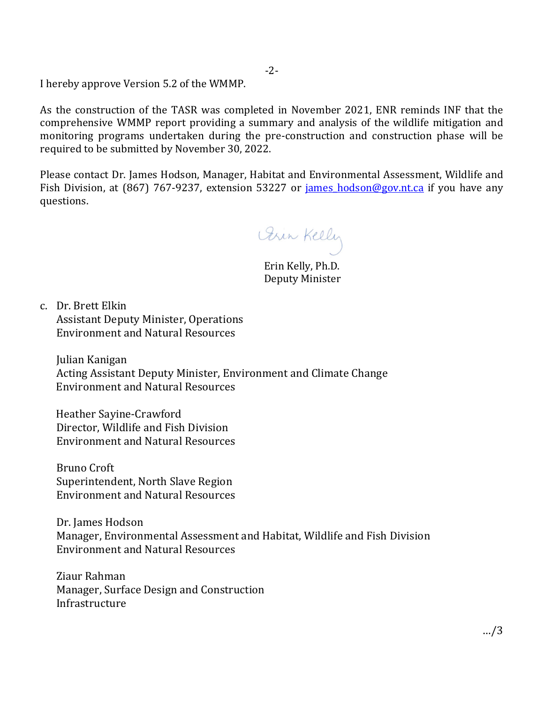I hereby approve Version 5.2 of the WMMP.

As the construction of the TASR was completed in November 2021, ENR reminds INF that the comprehensive WMMP report providing a summary and analysis of the wildlife mitigation and monitoring programs undertaken during the pre-construction and construction phase will be required to be submitted by November 30, 2022.

Please contact Dr. James Hodson, Manager, Habitat and Environmental Assessment, Wildlife and Fish Division, at (867) 767-9237, extension 53227 or james hodson@gov.nt.ca if you have any questions.

Girl Kelly

 Erin Kelly, Ph.D. Deputy Minister

c. Dr. Brett Elkin Assistant Deputy Minister, Operations Environment and Natural Resources

Julian Kanigan Acting Assistant Deputy Minister, Environment and Climate Change Environment and Natural Resources

Heather Sayine-Crawford Director, Wildlife and Fish Division Environment and Natural Resources

Bruno Croft Superintendent, North Slave Region Environment and Natural Resources

Dr. James Hodson Manager, Environmental Assessment and Habitat, Wildlife and Fish Division Environment and Natural Resources

Ziaur Rahman Manager, Surface Design and Construction Infrastructure

-2-